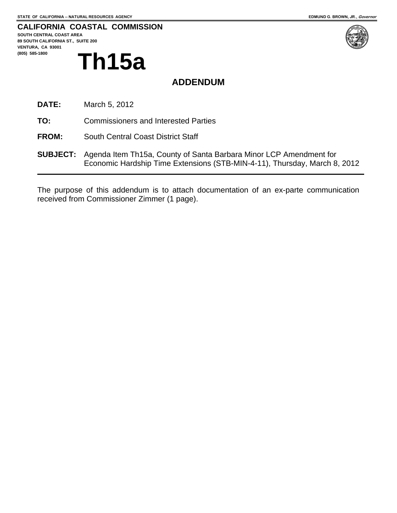## **CALIFORNIA COASTAL COMMISSION**

**SOUTH CENTRAL COAST AREA 89 SOUTH CALIFORNIA ST., SUITE 200 VENTURA, CA 93001 (805) 585-1800 Th15a** 



# **ADDENDUM**

- **DATE:** March 5, 2012
- **TO:** Commissioners and Interested Parties
- **FROM:** South Central Coast District Staff
- **SUBJECT:** Agenda Item Th15a, County of Santa Barbara Minor LCP Amendment for Economic Hardship Time Extensions (STB-MIN-4-11), Thursday, March 8, 2012

The purpose of this addendum is to attach documentation of an ex-parte communication received from Commissioner Zimmer (1 page).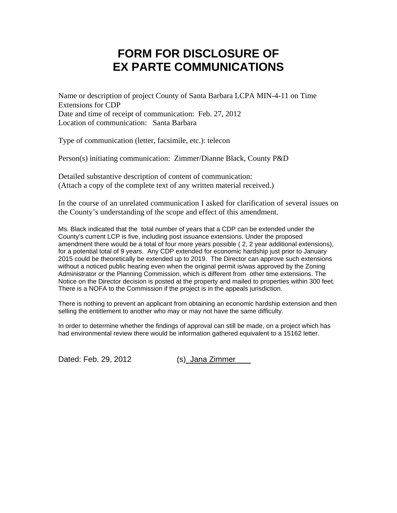## **FORM FOR DISCLOSURE OF EX PARTE COMMUNICATIONS**

Name or description of project County of Santa Barbara LCPA MIN-4-11 on Time Extensions for CDP Date and time of receipt of communication: Feb. 27, 2012 Location of communication: Santa Barbara

Type of communication (letter, facsimile, etc.): telecon

Person(s) initiating communication: Zimmer/Dianne Black, County P&D

Detailed substantive description of content of communication: (Attach a copy of the complete text of any written material received.)

In the course of an unrelated communication I asked for clarification of several issues on the County's understanding of the scope and effect of this amendment.

Ms. Black indicated that the total number of years that a CDP can be extended under the County's current LCP is five, including post issuance extensions. Under the proposed amendment there would be a total of four more years possible ( 2, 2 year additional extensions), for a potential total of 9 years. Any CDP extended for economic hardship just prior to January 2015 could be theoretically be extended up to 2019. The Director can approve such extensions without a noticed public hearing even when the original permit is/was approved by the Zoning Administrator or the Planning Commission, which is different from other time extensions. The Notice on the Director decision is posted at the property and mailed to properties within 300 feet. There is a NOFA to the Commission if the project is in the appeals jurisdiction.

There is nothing to prevent an applicant from obtaining an economic hardship extension and then selling the entitlement to another who may or may not have the same difficulty.

In order to determine whether the findings of approval can still be made, on a project which has had environmental review there would be information gathered equivalent to a 15162 letter.

Dated: Feb. 29, 2012 (s) Jana Zimmer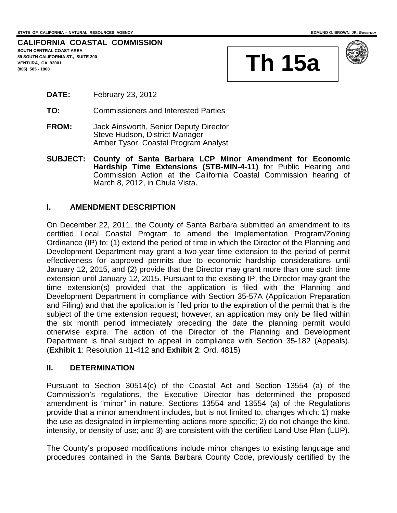**CALIFORNIA COASTAL COMMISSION SOUTH CENTRAL COAST AREA 89 SOUTH CALIFORNIA ST., SUITE 200 VENTURA, CA 93001**  89 SOUTH CALIFORNIA ST., SUITE 200<br>VENTURA, CA 93001<br>(805) 585 - 1800





- **DATE:** February 23, 2012
- **TO:** Commissioners and Interested Parties
- **FROM:** Jack Ainsworth, Senior Deputy Director Steve Hudson, District Manager Amber Tysor, Coastal Program Analyst
- **SUBJECT: County of Santa Barbara LCP Minor Amendment for Economic Hardship Time Extensions (STB-MIN-4-11)** for Public Hearing and Commission Action at the California Coastal Commission hearing of March 8, 2012, in Chula Vista.

## **I. AMENDMENT DESCRIPTION**

On December 22, 2011, the County of Santa Barbara submitted an amendment to its certified Local Coastal Program to amend the Implementation Program/Zoning Ordinance (IP) to: (1) extend the period of time in which the Director of the Planning and Development Department may grant a two-year time extension to the period of permit effectiveness for approved permits due to economic hardship considerations until January 12, 2015, and (2) provide that the Director may grant more than one such time extension until January 12, 2015. Pursuant to the existing IP, the Director may grant the time extension(s) provided that the application is filed with the Planning and Development Department in compliance with Section 35-57A (Application Preparation and Filing) and that the application is filed prior to the expiration of the permit that is the subject of the time extension request; however, an application may only be filed within the six month period immediately preceding the date the planning permit would otherwise expire. The action of the Director of the Planning and Development Department is final subject to appeal in compliance with Section 35-182 (Appeals). (**Exhibit 1**: Resolution 11-412 and **Exhibit 2**: Ord. 4815)

## **II. DETERMINATION**

Pursuant to Section 30514(c) of the Coastal Act and Section 13554 (a) of the Commission's regulations, the Executive Director has determined the proposed amendment is "minor" in nature. Sections 13554 and 13554 (a) of the Regulations provide that a minor amendment includes, but is not limited to, changes which: 1) make the use as designated in implementing actions more specific; 2) do not change the kind, intensity, or density of use; and 3) are consistent with the certified Land Use Plan (LUP).

The County's proposed modifications include minor changes to existing language and procedures contained in the Santa Barbara County Code, previously certified by the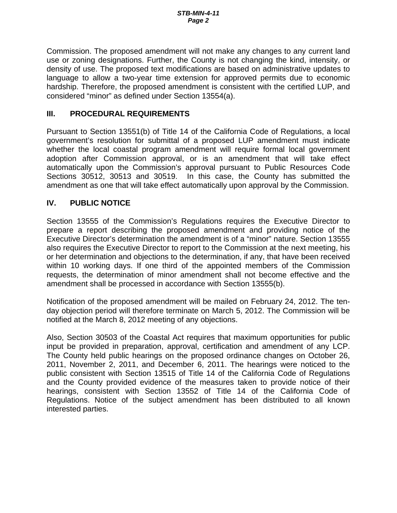Commission. The proposed amendment will not make any changes to any current land use or zoning designations. Further, the County is not changing the kind, intensity, or density of use. The proposed text modifications are based on administrative updates to language to allow a two-year time extension for approved permits due to economic hardship. Therefore, the proposed amendment is consistent with the certified LUP, and considered "minor" as defined under Section 13554(a).

## **III. PROCEDURAL REQUIREMENTS**

Pursuant to Section 13551(b) of Title 14 of the California Code of Regulations, a local government's resolution for submittal of a proposed LUP amendment must indicate whether the local coastal program amendment will require formal local government adoption after Commission approval, or is an amendment that will take effect automatically upon the Commission's approval pursuant to Public Resources Code Sections 30512, 30513 and 30519. In this case, the County has submitted the amendment as one that will take effect automatically upon approval by the Commission.

## **IV. PUBLIC NOTICE**

Section 13555 of the Commission's Regulations requires the Executive Director to prepare a report describing the proposed amendment and providing notice of the Executive Director's determination the amendment is of a "minor" nature. Section 13555 also requires the Executive Director to report to the Commission at the next meeting, his or her determination and objections to the determination, if any, that have been received within 10 working days. If one third of the appointed members of the Commission requests, the determination of minor amendment shall not become effective and the amendment shall be processed in accordance with Section 13555(b).

Notification of the proposed amendment will be mailed on February 24, 2012. The tenday objection period will therefore terminate on March 5, 2012. The Commission will be notified at the March 8, 2012 meeting of any objections.

Also, Section 30503 of the Coastal Act requires that maximum opportunities for public input be provided in preparation, approval, certification and amendment of any LCP. The County held public hearings on the proposed ordinance changes on October 26, 2011, November 2, 2011, and December 6, 2011. The hearings were noticed to the public consistent with Section 13515 of Title 14 of the California Code of Regulations and the County provided evidence of the measures taken to provide notice of their hearings, consistent with Section 13552 of Title 14 of the California Code of Regulations. Notice of the subject amendment has been distributed to all known interested parties.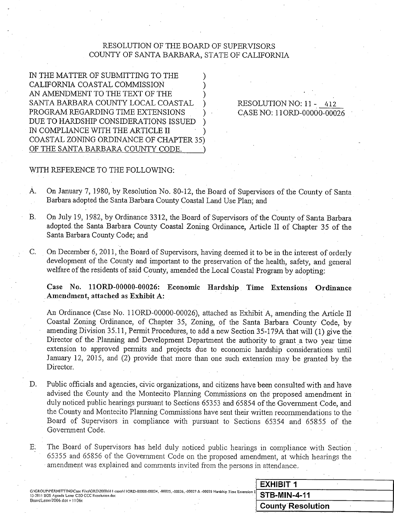## RESOLUTION OF THE BOARD OF SUPERVISORS COUNTY OF SANTA BARBARA, STATE OF CALIFORNIA

IN THE MATTER OF SUBMITTING TO THE CALIFORNIA COASTAL COMMISSION AN AMENDMENT TO THE TEXT OF THE SANTA BARBARA COUNTY LOCAL COASTAL PROGRAM REGARDING TIME EXTENSIONS DUE TO HARDSHIP CONSIDERATIONS ISSUED IN COMPLIANCE WITH THE ARTICLE II COASTAL ZONING ORDINANCE OF CHAPTER 35) OF THE SANTA BARBARA COUNTY CODE.

## RESOLUTION NO: 11 - 412 CASE NO: 11ORD-00000-00026

### WITH REFERENCE TO THE FOLLOWING:

- On January 7, 1980, by Resolution No. 80-12, the Board of Supervisors of the County of Santa À. Barbara adopted the Santa Barbara County Coastal Land Use Plan; and
- On July 19, 1982, by Ordinance 3312, the Board of Supervisors of the County of Santa Barbara  $B.$ adopted the Santa Barbara County Coastal Zoning Ordinance, Article II of Chapter 35 of the Santa Barbara County Code; and
- On December 6, 2011, the Board of Supervisors, having deemed it to be in the interest of orderly  $C_{\cdot}$ development of the County and important to the preservation of the health, safety, and general welfare of the residents of said County, amended the Local Coastal Program by adopting:

Case No. 11ORD-00000-00026: Economic Hardship Time Extensions Ordinance Amendment, attached as Exhibit A:

An Ordinance (Case No. 11ORD-00000-00026), attached as Exhibit A, amending the Article II Coastal Zoning Ordinance, of Chapter 35, Zoning, of the Santa Barbara County Code, by amending Division 35.11, Permit Procedures, to add a new Section 35-179A that will (1) give the Director of the Planning and Development Department the authority to grant a two year time extension to approved permits and projects due to economic hardship considerations until January 12, 2015, and (2) provide that more than one such extension may be granted by the Director.

- D. Public officials and agencies, civic organizations, and citizens have been consulted with and have advised the County and the Montecito Planning Commissions on the proposed amendment in duly noticed public hearings pursuant to Sections 65353 and 65854 of the Government Code, and the County and Montecito Planning Commissions have sent their written recommendations to the Board of Supervisors in compliance with pursuant to Sections 65354 and 65855 of the Government Code.
- The Board of Supervisors has held duly noticed public hearings in compliance with Section E. 65355 and 65856 of the Government Code on the proposed amendment, at which hearings the amendment was explained and comments invited from the persons in attendance.

|                                                                                                                                                                                               |  |  | <b>EXHIBIT 1</b>    |  |
|-----------------------------------------------------------------------------------------------------------------------------------------------------------------------------------------------|--|--|---------------------|--|
| GAGROUP\PERMITTING\Case Files\ORD\2000s\11 cases\11ORD-00000-00024, -00025, -00026, -00027 & -00028 Hardship Time Extension E $\overline{\text{STB-MIN-4-11}}$<br>BoardLetter2006.dot v 1106c |  |  |                     |  |
|                                                                                                                                                                                               |  |  | └ County Resolution |  |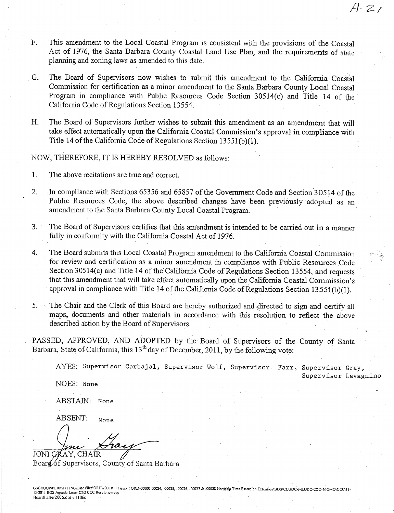- This amendment to the Local Coastal Program is consistent with the provisions of the Coastal  $F.$ Act of 1976, the Santa Barbara County Coastal Land Use Plan, and the requirements of state planning and zoning laws as amended to this date.
- The Board of Supervisors now wishes to submit this amendment to the California Coastal G. Commission for certification as a minor amendment to the Santa Barbara County Local Coastal Program in compliance with Public Resources Code Section 30514(c) and Title 14 of the California Code of Regulations Section 13554.
- $H_{\cdot}$ The Board of Supervisors further wishes to submit this amendment as an amendment that will take effect automatically upon the California Coastal Commission's approval in compliance with Title 14 of the California Code of Regulations Section 13551(b)(1).

#### NOW, THEREFORE, IT IS HEREBY RESOLVED as follows:

- $\mathbf{1}$ . The above recitations are true and correct.
- $2.$ In compliance with Sections 65356 and 65857 of the Government Code and Section 30514 of the Public Resources Code, the above described changes have been previously adopted as an amendment to the Santa Barbara County Local Coastal Program.
- $3<sub>1</sub>$ The Board of Supervisors certifies that this amendment is intended to be carried out in a manner fully in conformity with the California Coastal Act of 1976.
- $4.$ The Board submits this Local Coastal Program amendment to the California Coastal Commission for review and certification as a minor amendment in compliance with Public Resources Code Section 30514(c) and Title 14 of the California Code of Regulations Section 13554, and requests that this amendment that will take effect automatically upon the California Coastal Commission's approval in compliance with Title 14 of the California Code of Regulations Section 13551(b)(1).
- 5. The Chair and the Clerk of this Board are hereby authorized and directed to sign and certify all maps, documents and other materials in accordance with this resolution to reflect the above described action by the Board of Supervisors.

PASSED, APPROVED, AND ADOPTED by the Board of Supervisors of the County of Santa Barbara, State of California, this 13<sup>th</sup> day of December, 2011, by the following vote:

AYES: Supervisor Carbajal, Supervisor Wolf, Supervisor Farr, Supervisor Gray,

Supervisor Lavagnino

 $A.21$ 

NOES: None

ABSTAIN: None

ABSENT: None

JONI GRAY, CHAIR

Board of Supervisors, County of Santa Barbara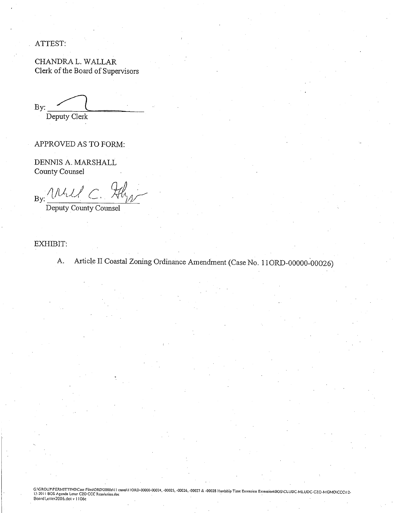ATTEST:

CHANDRA L. WALLAR Clerk of the Board of Supervisors

 $By:$ Deputy Clerk

APPROVED AS TO FORM:

DENNIS A. MARSHALL County Counsel

 $\Lambda$ lity  $\overline{By}$ :

Deputy County Counsel

## EXHIBIT:

Article II Coastal Zoning Ordinance Amendment (Case No. 11ORD-00000-00026) A.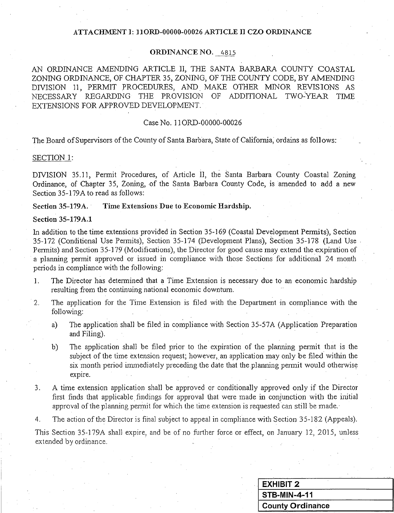### ATTACHMENT I: 11ORD-00000-00026 ARTICLE II CZO ORDINANCE

#### ORDINANCE NO. 4815

AN ORDINANCE AMENDING ARTICLE II, THE SANTA BARBARA COUNTY COASTAL ZONING ORDINANCE, OF CHAPTER 35, ZONING, OF THE COUNTY CODE, BY AMENDING DIVISION 11, PERMIT PROCEDURES, AND MAKE OTHER MINOR REVISIONS AS NECESSARY REGARDING THE PROVISION OF ADDITIONAL TWO-YEAR TIME EXTENSIONS FOR APPROVED DEVELOPMENT.

#### Case No. 11ORD-00000-00026

The Board of Supervisors of the County of Santa Barbara, State of California, ordains as follows:

#### SECTION 1:

DIVISION 35.11, Permit Procedures, of Article II, the Santa Barbara County Coastal Zoning Ordinance, of Chapter 35, Zoning, of the Santa Barbara County Code, is amended to add a new Section 35-179A to read as follows:

#### **Section 35-179A.** Time Extensions Due to Economic Hardship.

#### **Section 35-179A.1**

In addition to the time extensions provided in Section 35-169 (Coastal Development Permits), Section 35-172 (Conditional Use Permits), Section 35-174 (Development Plans), Section 35-178 (Land Use Permits) and Section 35-179 (Modifications), the Director for good cause may extend the expiration of a planning permit approved or issued in compliance with those Sections for additional 24 month periods in compliance with the following:

- The Director has determined that a Time Extension is necessary due to an economic hardship  $1<sub>1</sub>$ resulting from the continuing national economic downtum.
- The application for the Time Extension is filed with the Department in compliance with the 2. following:
	- The application shall be filed in compliance with Section 35-57A (Application Preparation  $a)$ and Filing).
	- The application shall be filed prior to the expiration of the planning permit that is the  $b)$ subject of the time extension request; however, an application may only be filed within the six month period immediately preceding the date that the planning permit would otherwise expire.
- A time extension application shall be approved or conditionally approved only if the Director 3. first finds that applicable findings for approval that were made in conjunction with the initial approval of the planning permit for which the time extension is requested can still be made.
- The action of the Director is final subject to appeal in compliance with Section 35-182 (Appeals). 4.

This Section 35-179A shall expire, and be of no further force or effect, on January 12, 2015, unless extended by ordinance.

| <b>EXHIBIT 2</b> |  |  |
|------------------|--|--|
| STB-MIN-4-11     |  |  |
| County Ordinance |  |  |